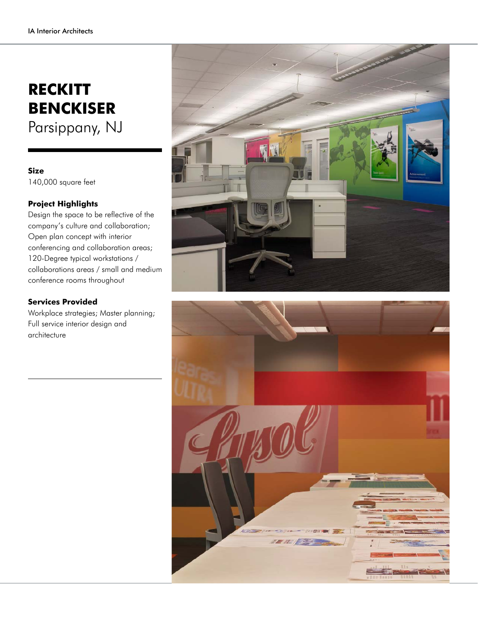## **RECKITT BENCKISER** Parsippany, NJ

## **Size** 140,000 square feet

## **Project Highlights**

Design the space to be reflective of the company's culture and collaboration; Open plan concept with interior conferencing and collaboration areas; 120-Degree typical workstations / collaborations areas / small and medium conference rooms throughout

## **Services Provided**

Workplace strategies; Master planning; Full service interior design and architecture